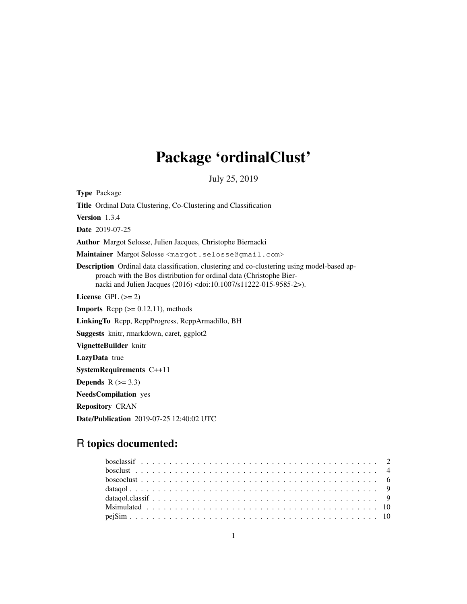# Package 'ordinalClust'

July 25, 2019

Type Package Title Ordinal Data Clustering, Co-Clustering and Classification Version 1.3.4 Date 2019-07-25 Author Margot Selosse, Julien Jacques, Christophe Biernacki Maintainer Margot Selosse <margot.selosse@gmail.com> Description Ordinal data classification, clustering and co-clustering using model-based approach with the Bos distribution for ordinal data (Christophe Biernacki and Julien Jacques (2016) <doi:10.1007/s11222-015-9585-2>). License GPL  $(>= 2)$ **Imports** Rcpp  $(>= 0.12.11)$ , methods LinkingTo Rcpp, RcppProgress, RcppArmadillo, BH Suggests knitr, rmarkdown, caret, ggplot2 VignetteBuilder knitr LazyData true SystemRequirements C++11 Depends  $R$  ( $>= 3.3$ ) NeedsCompilation yes Repository CRAN

Date/Publication 2019-07-25 12:40:02 UTC

# R topics documented: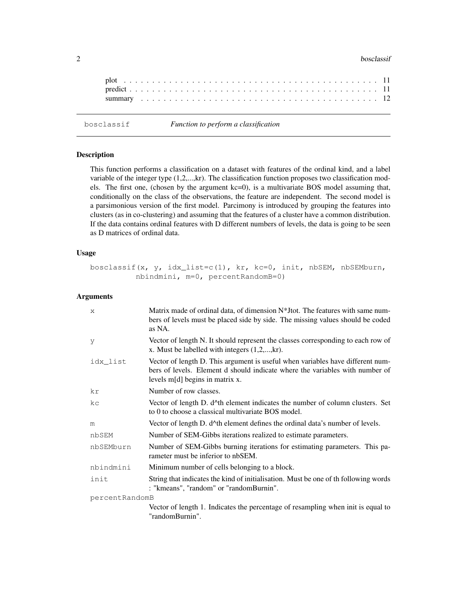#### 2 bosclassif

bosclassif *Function to perform a classification*

## Description

This function performs a classification on a dataset with features of the ordinal kind, and a label variable of the integer type (1,2,...,kr). The classification function proposes two classification models. The first one, (chosen by the argument  $kc=0$ ), is a multivariate BOS model assuming that, conditionally on the class of the observations, the feature are independent. The second model is a parsimonious version of the first model. Parcimony is introduced by grouping the features into clusters (as in co-clustering) and assuming that the features of a cluster have a common distribution. If the data contains ordinal features with D different numbers of levels, the data is going to be seen as D matrices of ordinal data.

#### Usage

```
bosclassif(x, y, idx_list=c(1), kr, kc=0, init, nbSEM, nbSEMburn,
          nbindmini, m=0, percentRandomB=0)
```
#### Arguments

| $\mathsf{x}$   | Matrix made of ordinal data, of dimension N*J tot. The features with same num-<br>bers of levels must be placed side by side. The missing values should be coded<br>as NA.                          |
|----------------|-----------------------------------------------------------------------------------------------------------------------------------------------------------------------------------------------------|
| y              | Vector of length N. It should represent the classes corresponding to each row of<br>x. Must be labelled with integers $(1,2,,kr)$ .                                                                 |
| idx list       | Vector of length D. This argument is useful when variables have different num-<br>bers of levels. Element d should indicate where the variables with number of<br>levels $m[d]$ begins in matrix x. |
| kr             | Number of row classes.                                                                                                                                                                              |
| kc             | Vector of length D. d^th element indicates the number of column clusters. Set<br>to 0 to choose a classical multivariate BOS model.                                                                 |
| m              | Vector of length D. d^th element defines the ordinal data's number of levels.                                                                                                                       |
| nbSEM          | Number of SEM-Gibbs iterations realized to estimate parameters.                                                                                                                                     |
| nbSEMburn      | Number of SEM-Gibbs burning iterations for estimating parameters. This pa-<br>rameter must be inferior to nbSEM.                                                                                    |
| nbindmini      | Minimum number of cells belonging to a block.                                                                                                                                                       |
| init           | String that indicates the kind of initialisation. Must be one of th following words<br>: "kmeans", "random" or "randomBurnin".                                                                      |
| percentRandomB |                                                                                                                                                                                                     |
|                | Vector of length 1. Indicates the percentage of resampling when init is equal to<br>"randomBurnin".                                                                                                 |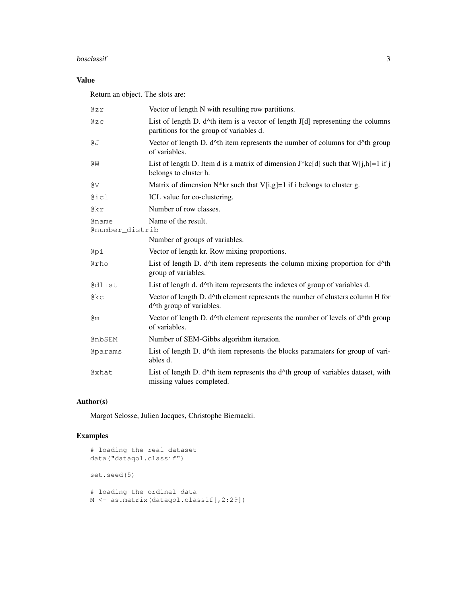#### bosclassif 3

## Value

Return an object. The slots are:

| 0zr                             | Vector of length N with resulting row partitions.                                                                                      |
|---------------------------------|----------------------------------------------------------------------------------------------------------------------------------------|
| QZC                             | List of length D. $d^{\wedge}$ th item is a vector of length J[d] representing the columns<br>partitions for the group of variables d. |
| ₫J                              | Vector of length D. $d^{\wedge}$ th item represents the number of columns for $d^{\wedge}$ th group<br>of variables.                   |
| @W                              | List of length D. Item d is a matrix of dimension $J*kc[d]$ such that $W[j,h]=1$ if j<br>belongs to cluster h.                         |
| @V                              | Matrix of dimension $N^*$ kr such that V[i,g]=1 if i belongs to cluster g.                                                             |
| @icl                            | ICL value for co-clustering.                                                                                                           |
| @kr                             | Number of row classes.                                                                                                                 |
| <b>@name</b><br>@number_distrib | Name of the result.                                                                                                                    |
|                                 | Number of groups of variables.                                                                                                         |
| @pi                             | Vector of length kr. Row mixing proportions.                                                                                           |
| @rho                            | List of length D. $d^{\wedge}$ th item represents the column mixing proportion for $d^{\wedge}$ th<br>group of variables.              |
| <b>@dlist</b>                   | List of length d. d^th item represents the indexes of group of variables d.                                                            |
| $Q$ $k$ $C$                     | Vector of length D. d^th element represents the number of clusters column H for<br>d^th group of variables.                            |
| Qm                              | Vector of length D. d^th element represents the number of levels of d^th group<br>of variables.                                        |
| @nbSEM                          | Number of SEM-Gibbs algorithm iteration.                                                                                               |
| <b>@params</b>                  | List of length D. d^th item represents the blocks paramaters for group of vari-<br>ables d.                                            |
| @xhat                           | List of length D. d^th item represents the d^th group of variables dataset, with<br>missing values completed.                          |

## Author(s)

Margot Selosse, Julien Jacques, Christophe Biernacki.

## Examples

```
# loading the real dataset
data("dataqol.classif")
set.seed(5)
# loading the ordinal data
M <- as.matrix(dataqol.classif[,2:29])
```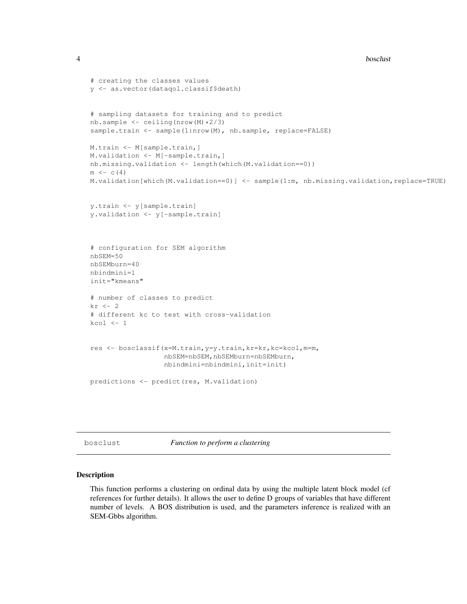```
4 bosclust 24 bosclust 2012 bosclust 2012 bosclust 2012 bosclust 2012 bosclust 2012 bosclust 2012 bosclust 201
```

```
# creating the classes values
y <- as.vector(dataqol.classif$death)
# sampling datasets for training and to predict
nb.sample <- ceiling(nrow(M)*2/3)
sample.train <- sample(1:nrow(M), nb.sample, replace=FALSE)
M.train <- M[sample.train,]
M.validation <- M[-sample.train,]
nb.missing.validation <- length(which(M.validation==0))
m \leftarrow c(4)M.validation[which(M.validation==0)] <- sample(1:m, nb.missing.validation,replace=TRUE)
y.train <- y[sample.train]
y.validation <- y[-sample.train]
# configuration for SEM algorithm
nbSEM=50
nbSEMburn=40
nbindmini=1
init="kmeans"
# number of classes to predict
kr \leftarrow 2# different kc to test with cross-validation
kcol < -1res <- bosclassif(x=M.train,y=y.train,kr=kr,kc=kcol,m=m,
                  nbSEM=nbSEM,nbSEMburn=nbSEMburn,
                  nbindmini=nbindmini,init=init)
predictions <- predict(res, M.validation)
```
bosclust *Function to perform a clustering*

## Description

This function performs a clustering on ordinal data by using the multiple latent block model (cf references for further details). It allows the user to define D groups of variables that have different number of levels. A BOS distribution is used, and the parameters inference is realized with an SEM-Gbbs algorithm.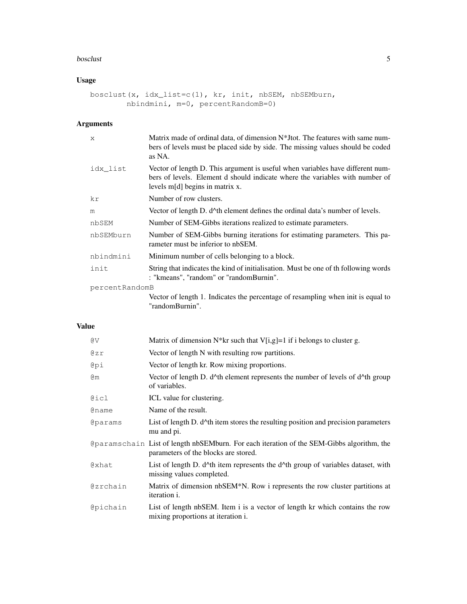#### bosclust 5 and 5 and 5 and 5 and 5 and 5 and 5 and 5 and 5 and 5 and 5 and 5 and 5 and 5 and 5 and 5 and 5 and 5 and 5 and 5 and 5 and 5 and 5 and 5 and 5 and 5 and 5 and 5 and 5 and 5 and 5 and 5 and 5 and 5 and 5 and 5 a

## Usage

```
bosclust(x, idx_list=c(1), kr, init, nbSEM, nbSEMburn,
        nbindmini, m=0, percentRandomB=0)
```
## Arguments

| $\mathsf{x}$   | Matrix made of ordinal data, of dimension N*J tot. The features with same num-<br>bers of levels must be placed side by side. The missing values should be coded<br>as NA.                          |
|----------------|-----------------------------------------------------------------------------------------------------------------------------------------------------------------------------------------------------|
| idx list       | Vector of length D. This argument is useful when variables have different num-<br>bers of levels. Element d should indicate where the variables with number of<br>levels $m[d]$ begins in matrix x. |
| kr             | Number of row clusters.                                                                                                                                                                             |
| m              | Vector of length D. d <sup>*</sup> th element defines the ordinal data's number of levels.                                                                                                          |
| nbSEM          | Number of SEM-Gibbs iterations realized to estimate parameters.                                                                                                                                     |
| nbSEMburn      | Number of SEM-Gibbs burning iterations for estimating parameters. This pa-<br>rameter must be inferior to nbSEM.                                                                                    |
| nbindmini      | Minimum number of cells belonging to a block.                                                                                                                                                       |
| init           | String that indicates the kind of initialisation. Must be one of the following words<br>: "kmeans", "random" or "randomBurnin".                                                                     |
| percentRandomB |                                                                                                                                                                                                     |
|                | Vector of length 1. Indicates the percentage of resampling when init is equal to<br>"randomBurnin".                                                                                                 |

## Value

| @V                    | Matrix of dimension N*kr such that V[i,g]=1 if i belongs to cluster g.                                                              |
|-----------------------|-------------------------------------------------------------------------------------------------------------------------------------|
| 0zr                   | Vector of length N with resulting row partitions.                                                                                   |
| @pi                   | Vector of length kr. Row mixing proportions.                                                                                        |
| @m                    | Vector of length D. $d^{\wedge}$ th element represents the number of levels of $d^{\wedge}$ th group<br>of variables.               |
| @icl                  | ICL value for clustering.                                                                                                           |
| <b>@name</b>          | Name of the result.                                                                                                                 |
| <i><b>@params</b></i> | List of length D. $d^{\wedge}$ th item stores the resulting position and precision parameters<br>mu and pi.                         |
|                       | Oparamschain List of length nbSEMburn. For each iteration of the SEM-Gibbs algorithm, the<br>parameters of the blocks are stored.   |
| @xhat                 | List of length D. $d^{\wedge}$ th item represents the $d^{\wedge}$ th group of variables dataset, with<br>missing values completed. |
| Gzrchain              | Matrix of dimension nbSEM <sup>*</sup> N. Row i represents the row cluster partitions at<br>iteration <i>i</i> .                    |
| Cpichain              | List of length nbSEM. Item i is a vector of length kr which contains the row<br>mixing proportions at iteration i.                  |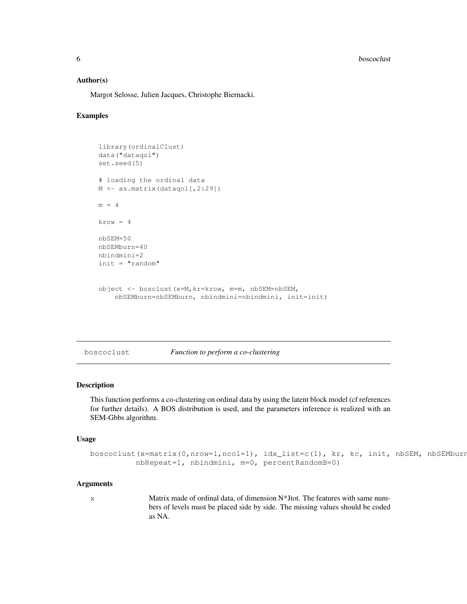**6** boscoclust the contract of the contract of the contract of the contract of the contract of the contract of the contract of the contract of the contract of the contract of the contract of the contract of the contract of

## Author(s)

Margot Selosse, Julien Jacques, Christophe Biernacki.

## Examples

```
library(ordinalClust)
data("dataqol")
set.seed(5)
# loading the ordinal data
M <- as.matrix(dataqol[,2:29])
m = 4krow = 4nbSEM=50
nbSEMburn=40
nbindmini=2
init = "random"
object <- bosclust(x=M,kr=krow, m=m, nbSEM=nbSEM,
    nbSEMburn=nbSEMburn, nbindmini=nbindmini, init=init)
```
boscoclust *Function to perform a co-clustering*

#### Description

This function performs a co-clustering on ordinal data by using the latent block model (cf references for further details). A BOS distribution is used, and the parameters inference is realized with an SEM-Gbbs algorithm.

#### Usage

```
boscoclust(x=matrix(0,nrow=1,ncol=1), idx_list=c(1), kr, kc, init, nbSEM, nbSEMburn
          nbRepeat=1, nbindmini, m=0, percentRandomB=0)
```
#### Arguments

x Matrix made of ordinal data, of dimension N\*Jtot. The features with same numbers of levels must be placed side by side. The missing values should be coded as NA.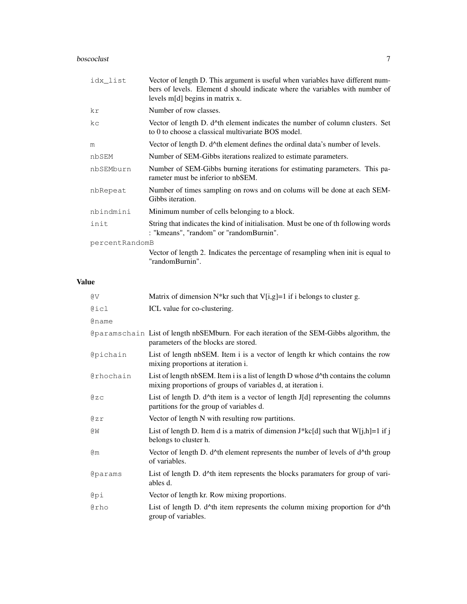## boscoclust 7

| idx list       | Vector of length D. This argument is useful when variables have different num-<br>bers of levels. Element d should indicate where the variables with number of<br>levels $m[d]$ begins in matrix x. |
|----------------|-----------------------------------------------------------------------------------------------------------------------------------------------------------------------------------------------------|
| kr             | Number of row classes.                                                                                                                                                                              |
| kc             | Vector of length D. d <sup>*</sup> th element indicates the number of column clusters. Set<br>to 0 to choose a classical multivariate BOS model.                                                    |
| m              | Vector of length D. $d^{\wedge}$ th element defines the ordinal data's number of levels.                                                                                                            |
| nbSEM          | Number of SEM-Gibbs iterations realized to estimate parameters.                                                                                                                                     |
| nbSEMburn      | Number of SEM-Gibbs burning iterations for estimating parameters. This pa-<br>rameter must be inferior to nbSEM.                                                                                    |
| nbRepeat       | Number of times sampling on rows and on colums will be done at each SEM-<br>Gibbs iteration.                                                                                                        |
| nbindmini      | Minimum number of cells belonging to a block.                                                                                                                                                       |
| init           | String that indicates the kind of initialisation. Must be one of the following words<br>: "kmeans", "random" or "randomBurnin".                                                                     |
| percentRandomB |                                                                                                                                                                                                     |
|                | Vector of length 2. Indicates the percentage of resampling when init is equal to<br>"randomBurnin".                                                                                                 |

## Value

| @V              | Matrix of dimension $N^*$ kr such that V[i,g]=1 if i belongs to cluster g.                                                                                     |
|-----------------|----------------------------------------------------------------------------------------------------------------------------------------------------------------|
| @icl            | ICL value for co-clustering.                                                                                                                                   |
| <b>@name</b>    |                                                                                                                                                                |
|                 | Oparamschain List of length nbSEMburn. For each iteration of the SEM-Gibbs algorithm, the<br>parameters of the blocks are stored.                              |
| <b>@pichain</b> | List of length nbSEM. Item i is a vector of length kr which contains the row<br>mixing proportions at iteration i.                                             |
| @rhochain       | List of length nbSEM. Item i is a list of length D whose d <sup>*</sup> th contains the column<br>mixing proportions of groups of variables d, at iteration i. |
| @zC             | List of length D. $d^{\wedge}$ th item is a vector of length J[d] representing the columns<br>partitions for the group of variables d.                         |
| @zr             | Vector of length N with resulting row partitions.                                                                                                              |
| ΘM              | List of length D. Item d is a matrix of dimension $J*kc[d]$ such that $W[j,h]=1$ if j<br>belongs to cluster h.                                                 |
| @m              | Vector of length D. d^th element represents the number of levels of d^th group<br>of variables.                                                                |
| <b>@params</b>  | List of length D. d^th item represents the blocks paramaters for group of vari-<br>ables d.                                                                    |
| @pi             | Vector of length kr. Row mixing proportions.                                                                                                                   |
| <b>@rho</b>     | List of length D. $d^{\text{A}}$ th item represents the column mixing proportion for $d^{\text{A}}$ th<br>group of variables.                                  |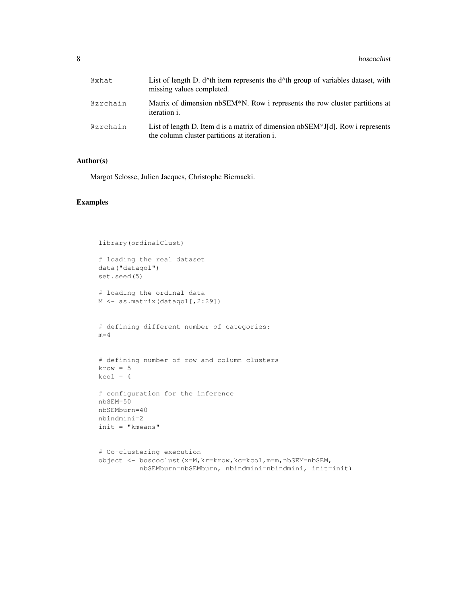| @xhat    | List of length D. $d^{\wedge}$ th item represents the $d^{\wedge}$ th group of variables dataset, with<br>missing values completed. |
|----------|-------------------------------------------------------------------------------------------------------------------------------------|
| @zrchain | Matrix of dimension nbSEM*N. Row i represents the row cluster partitions at<br><i>iteration i.</i>                                  |
| @zrchain | List of length D. Item d is a matrix of dimension $nbSEM*J[d]$ . Row i represents<br>the column cluster partitions at iteration i.  |

## Author(s)

Margot Selosse, Julien Jacques, Christophe Biernacki.

## Examples

```
library(ordinalClust)
# loading the real dataset
data("dataqol")
set.seed(5)
# loading the ordinal data
M <- as.matrix(dataqol[,2:29])
# defining different number of categories:
m=4# defining number of row and column clusters
krow = 5kcol = 4# configuration for the inference
nbSEM=50
nbSEMburn=40
nbindmini=2
init = "kmeans"
# Co-clustering execution
object <- boscoclust(x=M,kr=krow,kc=kcol,m=m,nbSEM=nbSEM,
          nbSEMburn=nbSEMburn, nbindmini=nbindmini, init=init)
```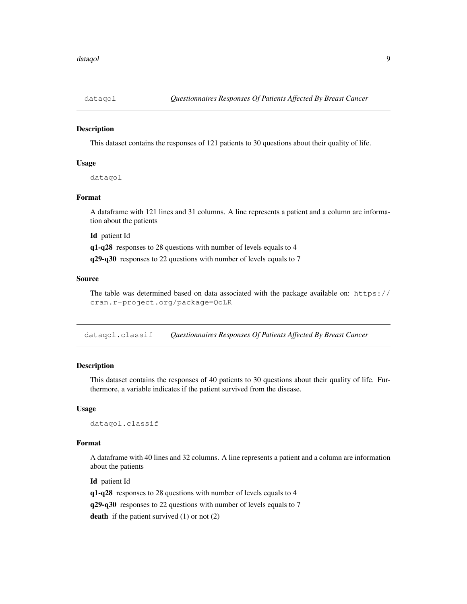## Description

This dataset contains the responses of 121 patients to 30 questions about their quality of life.

## Usage

dataqol

## Format

A dataframe with 121 lines and 31 columns. A line represents a patient and a column are information about the patients

Id patient Id

q1-q28 responses to 28 questions with number of levels equals to 4

q29-q30 responses to 22 questions with number of levels equals to 7

## Source

The table was determined based on data associated with the package available on: https:// cran.r-project.org/package=QoLR

dataqol.classif *Questionnaires Responses Of Patients Affected By Breast Cancer*

## Description

This dataset contains the responses of 40 patients to 30 questions about their quality of life. Furthermore, a variable indicates if the patient survived from the disease.

## Usage

dataqol.classif

#### Format

A dataframe with 40 lines and 32 columns. A line represents a patient and a column are information about the patients

Id patient Id q1-q28 responses to 28 questions with number of levels equals to 4 q29-q30 responses to 22 questions with number of levels equals to 7 death if the patient survived  $(1)$  or not  $(2)$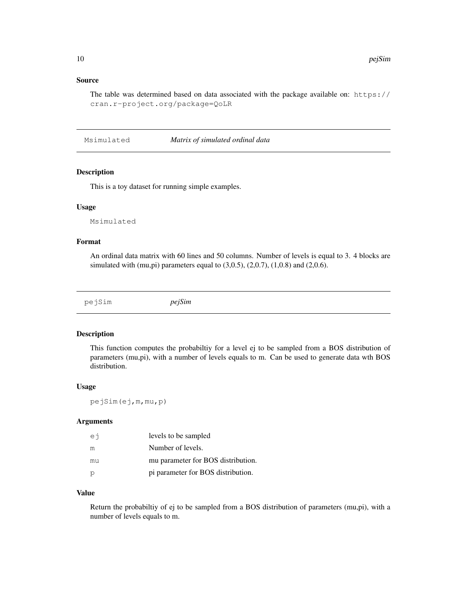## Source

The table was determined based on data associated with the package available on:  $https://$ cran.r-project.org/package=QoLR

Msimulated *Matrix of simulated ordinal data*

## Description

This is a toy dataset for running simple examples.

#### Usage

Msimulated

#### Format

An ordinal data matrix with 60 lines and 50 columns. Number of levels is equal to 3. 4 blocks are simulated with (mu,pi) parameters equal to  $(3,0.5)$ ,  $(2,0.7)$ ,  $(1,0.8)$  and  $(2,0.6)$ .

pejSim *pejSim*

## Description

This function computes the probabiltiy for a level ej to be sampled from a BOS distribution of parameters (mu,pi), with a number of levels equals to m. Can be used to generate data wth BOS distribution.

#### Usage

pejSim(ej,m,mu,p)

#### Arguments

| еi | levels to be sampled               |
|----|------------------------------------|
| m  | Number of levels.                  |
| mu | mu parameter for BOS distribution. |
| P  | pi parameter for BOS distribution. |

## Value

Return the probabiltiy of ej to be sampled from a BOS distribution of parameters (mu,pi), with a number of levels equals to m.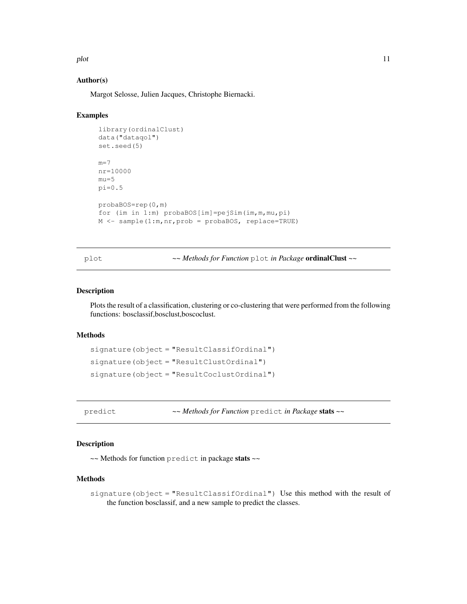plot the state of the state of the state of the state of the state of the state of the state of the state of the state of the state of the state of the state of the state of the state of the state of the state of the state

## Author(s)

Margot Selosse, Julien Jacques, Christophe Biernacki.

## Examples

```
library(ordinalClust)
data("dataqol")
set.seed(5)
m=7nr=10000
mu=5
pi=0.5probaBOS=rep(0,m)
for (im in 1:m) probaBOS[im]=pejSim(im,m,mu,pi)
M \leftarrow sample(1:m,nr,prob = probaBOS, replace=TRUE)
```
plot *~~ Methods for Function* plot *in Package* ordinalClust *~~*

#### Description

Plots the result of a classification, clustering or co-clustering that were performed from the following functions: bosclassif,bosclust,boscoclust.

## Methods

```
signature(object = "ResultClassifOrdinal")
signature(object = "ResultClustOrdinal")
signature(object = "ResultCoclustOrdinal")
```
predict *~~ Methods for Function* predict *in Package* stats *~~*

## Description

~~ Methods for function predict in package stats ~~

#### Methods

signature(object = "ResultClassifOrdinal") Use this method with the result of the function bosclassif, and a new sample to predict the classes.